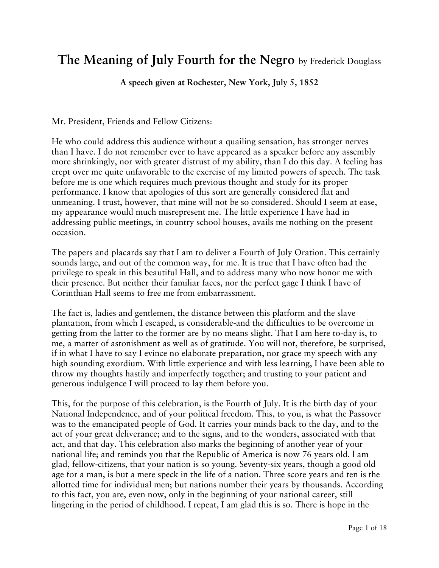## **The Meaning of July Fourth for the Negro** by Frederick Douglass

**A speech given at Rochester, New York, July 5, 1852** 

Mr. President, Friends and Fellow Citizens:

He who could address this audience without a quailing sensation, has stronger nerves than I have. I do not remember ever to have appeared as a speaker before any assembly more shrinkingly, nor with greater distrust of my ability, than I do this day. A feeling has crept over me quite unfavorable to the exercise of my limited powers of speech. The task before me is one which requires much previous thought and study for its proper performance. I know that apologies of this sort are generally considered flat and unmeaning. I trust, however, that mine will not be so considered. Should I seem at ease, my appearance would much misrepresent me. The little experience I have had in addressing public meetings, in country school houses, avails me nothing on the present occasion.

The papers and placards say that I am to deliver a Fourth of July Oration. This certainly sounds large, and out of the common way, for me. It is true that I have often had the privilege to speak in this beautiful Hall, and to address many who now honor me with their presence. But neither their familiar faces, nor the perfect gage I think I have of Corinthian Hall seems to free me from embarrassment.

The fact is, ladies and gentlemen, the distance between this platform and the slave plantation, from which I escaped, is considerable-and the difficulties to be overcome in getting from the latter to the former are by no means slight. That I am here to-day is, to me, a matter of astonishment as well as of gratitude. You will not, therefore, be surprised, if in what I have to say I evince no elaborate preparation, nor grace my speech with any high sounding exordium. With little experience and with less learning, I have been able to throw my thoughts hastily and imperfectly together; and trusting to your patient and generous indulgence I will proceed to lay them before you.

This, for the purpose of this celebration, is the Fourth of July. It is the birth day of your National Independence, and of your political freedom. This, to you, is what the Passover was to the emancipated people of God. It carries your minds back to the day, and to the act of your great deliverance; and to the signs, and to the wonders, associated with that act, and that day. This celebration also marks the beginning of another year of your national life; and reminds you that the Republic of America is now 76 years old. l am glad, fellow-citizens, that your nation is so young. Seventy-six years, though a good old age for a man, is but a mere speck in the life of a nation. Three score years and ten is the allotted time for individual men; but nations number their years by thousands. According to this fact, you are, even now, only in the beginning of your national career, still lingering in the period of childhood. I repeat, I am glad this is so. There is hope in the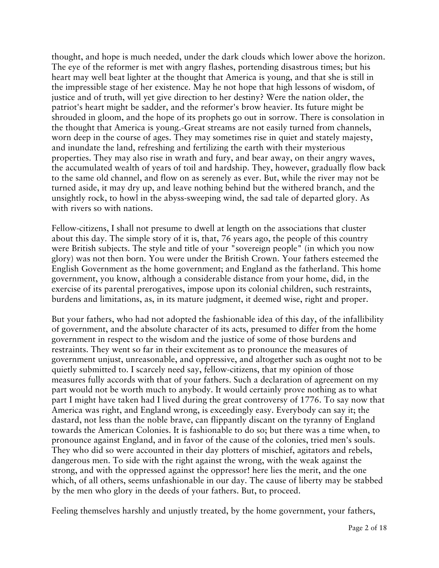thought, and hope is much needed, under the dark clouds which lower above the horizon. The eye of the reformer is met with angry flashes, portending disastrous times; but his heart may well beat lighter at the thought that America is young, and that she is still in the impressible stage of her existence. May he not hope that high lessons of wisdom, of justice and of truth, will yet give direction to her destiny? Were the nation older, the patriot's heart might be sadder, and the reformer's brow heavier. Its future might be shrouded in gloom, and the hope of its prophets go out in sorrow. There is consolation in the thought that America is young.-Great streams are not easily turned from channels, worn deep in the course of ages. They may sometimes rise in quiet and stately majesty, and inundate the land, refreshing and fertilizing the earth with their mysterious properties. They may also rise in wrath and fury, and bear away, on their angry waves, the accumulated wealth of years of toil and hardship. They, however, gradually flow back to the same old channel, and flow on as serenely as ever. But, while the river may not be turned aside, it may dry up, and leave nothing behind but the withered branch, and the unsightly rock, to howl in the abyss-sweeping wind, the sad tale of departed glory. As with rivers so with nations.

Fellow-citizens, I shall not presume to dwell at length on the associations that cluster about this day. The simple story of it is, that, 76 years ago, the people of this country were British subjects. The style and title of your "sovereign people" (in which you now glory) was not then born. You were under the British Crown. Your fathers esteemed the English Government as the home government; and England as the fatherland. This home government, you know, although a considerable distance from your home, did, in the exercise of its parental prerogatives, impose upon its colonial children, such restraints, burdens and limitations, as, in its mature judgment, it deemed wise, right and proper.

But your fathers, who had not adopted the fashionable idea of this day, of the infallibility of government, and the absolute character of its acts, presumed to differ from the home government in respect to the wisdom and the justice of some of those burdens and restraints. They went so far in their excitement as to pronounce the measures of government unjust, unreasonable, and oppressive, and altogether such as ought not to be quietly submitted to. I scarcely need say, fellow-citizens, that my opinion of those measures fully accords with that of your fathers. Such a declaration of agreement on my part would not be worth much to anybody. It would certainly prove nothing as to what part I might have taken had I lived during the great controversy of 1776. To say now that America was right, and England wrong, is exceedingly easy. Everybody can say it; the dastard, not less than the noble brave, can flippantly discant on the tyranny of England towards the American Colonies. It is fashionable to do so; but there was a time when, to pronounce against England, and in favor of the cause of the colonies, tried men's souls. They who did so were accounted in their day plotters of mischief, agitators and rebels, dangerous men. To side with the right against the wrong, with the weak against the strong, and with the oppressed against the oppressor! here lies the merit, and the one which, of all others, seems unfashionable in our day. The cause of liberty may be stabbed by the men who glory in the deeds of your fathers. But, to proceed.

Feeling themselves harshly and unjustly treated, by the home government, your fathers,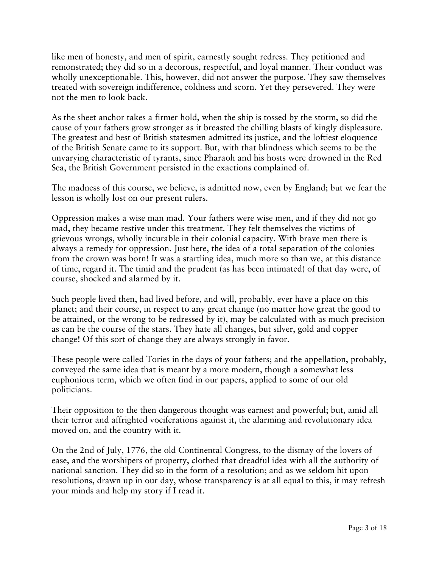like men of honesty, and men of spirit, earnestly sought redress. They petitioned and remonstrated; they did so in a decorous, respectful, and loyal manner. Their conduct was wholly unexceptionable. This, however, did not answer the purpose. They saw themselves treated with sovereign indifference, coldness and scorn. Yet they persevered. They were not the men to look back.

As the sheet anchor takes a firmer hold, when the ship is tossed by the storm, so did the cause of your fathers grow stronger as it breasted the chilling blasts of kingly displeasure. The greatest and best of British statesmen admitted its justice, and the loftiest eloquence of the British Senate came to its support. But, with that blindness which seems to be the unvarying characteristic of tyrants, since Pharaoh and his hosts were drowned in the Red Sea, the British Government persisted in the exactions complained of.

The madness of this course, we believe, is admitted now, even by England; but we fear the lesson is wholly lost on our present rulers.

Oppression makes a wise man mad. Your fathers were wise men, and if they did not go mad, they became restive under this treatment. They felt themselves the victims of grievous wrongs, wholly incurable in their colonial capacity. With brave men there is always a remedy for oppression. Just here, the idea of a total separation of the colonies from the crown was born! It was a startling idea, much more so than we, at this distance of time, regard it. The timid and the prudent (as has been intimated) of that day were, of course, shocked and alarmed by it.

Such people lived then, had lived before, and will, probably, ever have a place on this planet; and their course, in respect to any great change (no matter how great the good to be attained, or the wrong to be redressed by it), may be calculated with as much precision as can be the course of the stars. They hate all changes, but silver, gold and copper change! Of this sort of change they are always strongly in favor.

These people were called Tories in the days of your fathers; and the appellation, probably, conveyed the same idea that is meant by a more modern, though a somewhat less euphonious term, which we often find in our papers, applied to some of our old politicians.

Their opposition to the then dangerous thought was earnest and powerful; but, amid all their terror and affrighted vociferations against it, the alarming and revolutionary idea moved on, and the country with it.

On the 2nd of July, 1776, the old Continental Congress, to the dismay of the lovers of ease, and the worshipers of property, clothed that dreadful idea with all the authority of national sanction. They did so in the form of a resolution; and as we seldom hit upon resolutions, drawn up in our day, whose transparency is at all equal to this, it may refresh your minds and help my story if I read it.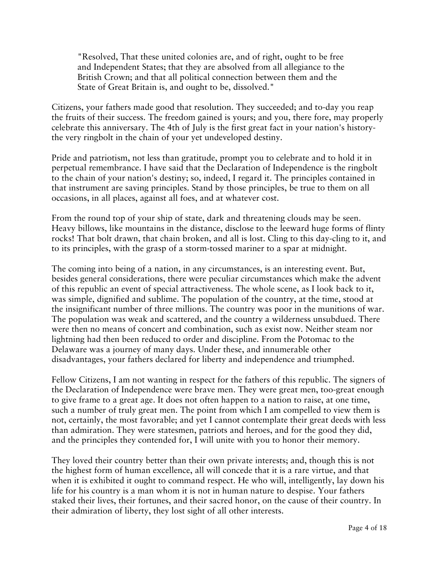"Resolved, That these united colonies are, and of right, ought to be free and Independent States; that they are absolved from all allegiance to the British Crown; and that all political connection between them and the State of Great Britain is, and ought to be, dissolved."

Citizens, your fathers made good that resolution. They succeeded; and to-day you reap the fruits of their success. The freedom gained is yours; and you, there fore, may properly celebrate this anniversary. The 4th of July is the first great fact in your nation's historythe very ringbolt in the chain of your yet undeveloped destiny.

Pride and patriotism, not less than gratitude, prompt you to celebrate and to hold it in perpetual remembrance. I have said that the Declaration of Independence is the ringbolt to the chain of your nation's destiny; so, indeed, I regard it. The principles contained in that instrument are saving principles. Stand by those principles, be true to them on all occasions, in all places, against all foes, and at whatever cost.

From the round top of your ship of state, dark and threatening clouds may be seen. Heavy billows, like mountains in the distance, disclose to the leeward huge forms of flinty rocks! That bolt drawn, that chain broken, and all is lost. Cling to this day-cling to it, and to its principles, with the grasp of a storm-tossed mariner to a spar at midnight.

The coming into being of a nation, in any circumstances, is an interesting event. But, besides general considerations, there were peculiar circumstances which make the advent of this republic an event of special attractiveness. The whole scene, as I look back to it, was simple, dignified and sublime. The population of the country, at the time, stood at the insignificant number of three millions. The country was poor in the munitions of war. The population was weak and scattered, and the country a wilderness unsubdued. There were then no means of concert and combination, such as exist now. Neither steam nor lightning had then been reduced to order and discipline. From the Potomac to the Delaware was a journey of many days. Under these, and innumerable other disadvantages, your fathers declared for liberty and independence and triumphed.

Fellow Citizens, I am not wanting in respect for the fathers of this republic. The signers of the Declaration of Independence were brave men. They were great men, too-great enough to give frame to a great age. It does not often happen to a nation to raise, at one time, such a number of truly great men. The point from which I am compelled to view them is not, certainly, the most favorable; and yet I cannot contemplate their great deeds with less than admiration. They were statesmen, patriots and heroes, and for the good they did, and the principles they contended for, I will unite with you to honor their memory.

They loved their country better than their own private interests; and, though this is not the highest form of human excellence, all will concede that it is a rare virtue, and that when it is exhibited it ought to command respect. He who will, intelligently, lay down his life for his country is a man whom it is not in human nature to despise. Your fathers staked their lives, their fortunes, and their sacred honor, on the cause of their country. In their admiration of liberty, they lost sight of all other interests.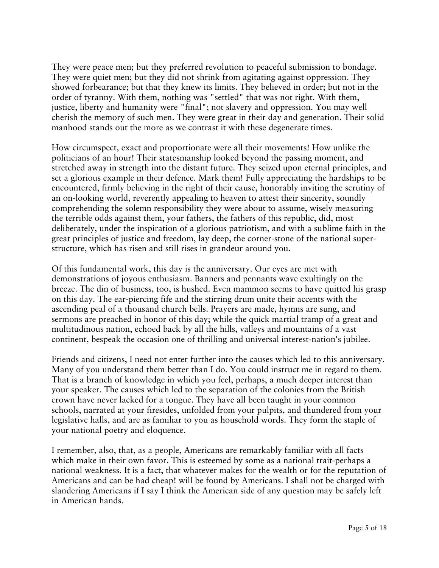They were peace men; but they preferred revolution to peaceful submission to bondage. They were quiet men; but they did not shrink from agitating against oppression. They showed forbearance; but that they knew its limits. They believed in order; but not in the order of tyranny. With them, nothing was "settIed" that was not right. With them, justice, liberty and humanity were "final"; not slavery and oppression. You may well cherish the memory of such men. They were great in their day and generation. Their solid manhood stands out the more as we contrast it with these degenerate times.

How circumspect, exact and proportionate were all their movements! How unlike the politicians of an hour! Their statesmanship looked beyond the passing moment, and stretched away in strength into the distant future. They seized upon eternal principles, and set a glorious example in their defence. Mark them! Fully appreciating the hardships to be encountered, firmly believing in the right of their cause, honorably inviting the scrutiny of an on-looking world, reverently appealing to heaven to attest their sincerity, soundly comprehending the solemn responsibility they were about to assume, wisely measuring the terrible odds against them, your fathers, the fathers of this republic, did, most deliberately, under the inspiration of a glorious patriotism, and with a sublime faith in the great principles of justice and freedom, lay deep, the corner-stone of the national superstructure, which has risen and still rises in grandeur around you.

Of this fundamental work, this day is the anniversary. Our eyes are met with demonstrations of joyous enthusiasm. Banners and pennants wave exultingly on the breeze. The din of business, too, is hushed. Even mammon seems to have quitted his grasp on this day. The ear-piercing fife and the stirring drum unite their accents with the ascending peal of a thousand church bells. Prayers are made, hymns are sung, and sermons are preached in honor of this day; while the quick martial tramp of a great and multitudinous nation, echoed back by all the hills, valleys and mountains of a vast continent, bespeak the occasion one of thrilling and universal interest-nation's jubilee.

Friends and citizens, I need not enter further into the causes which led to this anniversary. Many of you understand them better than I do. You could instruct me in regard to them. That is a branch of knowledge in which you feel, perhaps, a much deeper interest than your speaker. The causes which led to the separation of the colonies from the British crown have never lacked for a tongue. They have all been taught in your common schools, narrated at your firesides, unfolded from your pulpits, and thundered from your legislative halls, and are as familiar to you as household words. They form the staple of your national poetry and eloquence.

I remember, also, that, as a people, Americans are remarkably familiar with all facts which make in their own favor. This is esteemed by some as a national trait-perhaps a national weakness. It is a fact, that whatever makes for the wealth or for the reputation of Americans and can be had cheap! will be found by Americans. I shall not be charged with slandering Americans if I say I think the American side of any question may be safely left in American hands.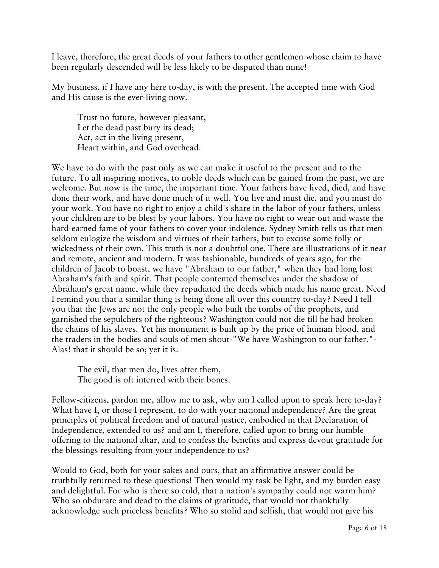I leave, therefore, the great deeds of your fathers to other gentlemen whose claim to have been regularly descended will be less likely to be disputed than mine!

My business, if I have any here to-day, is with the present. The accepted time with God and His cause is the ever-living now.

Trust no future, however pleasant, Let the dead past bury its dead; Act, act in the living present, Heart within, and God overhead.

We have to do with the past only as we can make it useful to the present and to the future. To all inspiring motives, to noble deeds which can be gained from the past, we are welcome. But now is the time, the important time. Your fathers have lived, died, and have done their work, and have done much of it well. You live and must die, and you must do your work. You have no right to enjoy a child's share in the labor of your fathers, unless your children are to be blest by your labors. You have no right to wear out and waste the hard-earned fame of your fathers to cover your indolence. Sydney Smith tells us that men seldom eulogize the wisdom and virtues of their fathers, but to excuse some folly or wickedness of their own. This truth is not a doubtful one. There are illustrations of it near and remote, ancient and modern. It was fashionable, hundreds of years ago, for the children of Jacob to boast, we have "Abraham to our father," when they had long lost Abraham's faith and spirit. That people contented themselves under the shadow of Abraham's great name, while they repudiated the deeds which made his name great. Need I remind you that a similar thing is being done all over this country to-day? Need I tell you that the Jews are not the only people who built the tombs of the prophets, and garnished the sepulchers of the righteous? Washington could not die till he had broken the chains of his slaves. Yet his monument is built up by the price of human blood, and the traders in the bodies and souls of men shout-"We have Washington to our father."- Alas! that it should be so; yet it is.

The evil, that men do, lives after them, The good is oft interred with their bones.

Fellow-citizens, pardon me, allow me to ask, why am I called upon to speak here to-day? What have I, or those I represent, to do with your national independence? Are the great principles of political freedom and of natural justice, embodied in that Declaration of Independence, extended to us? and am I, therefore, called upon to bring our humble offering to the national altar, and to confess the benefits and express devout gratitude for the blessings resulting from your independence to us?

Would to God, both for your sakes and ours, that an affirmative answer could be truthfully returned to these questions! Then would my task be light, and my burden easy and delightful. For who is there so cold, that a nation's sympathy could not warm him? Who so obdurate and dead to the claims of gratitude, that would not thankfully acknowledge such priceless benefits? Who so stolid and selfish, that would not give his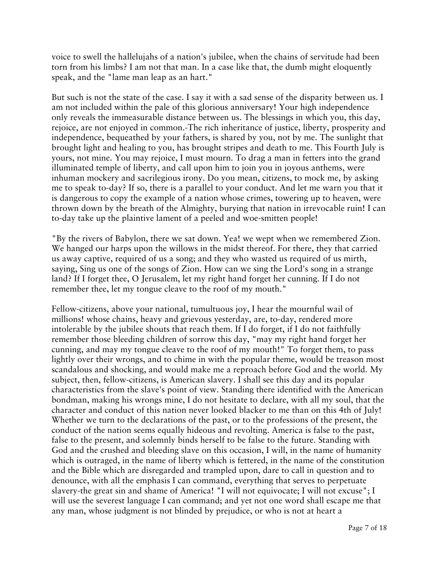voice to swell the hallelujahs of a nation's jubilee, when the chains of servitude had been torn from his limbs? I am not that man. In a case like that, the dumb might eloquently speak, and the "lame man leap as an hart."

But such is not the state of the case. I say it with a sad sense of the disparity between us. I am not included within the pale of this glorious anniversary! Your high independence only reveals the immeasurable distance between us. The blessings in which you, this day, rejoice, are not enjoyed in common.-The rich inheritance of justice, liberty, prosperity and independence, bequeathed by your fathers, is shared by you, not by me. The sunlight that brought light and healing to you, has brought stripes and death to me. This Fourth July is yours, not mine. You may rejoice, I must mourn. To drag a man in fetters into the grand illuminated temple of liberty, and call upon him to join you in joyous anthems, were inhuman mockery and sacrilegious irony. Do you mean, citizens, to mock me, by asking me to speak to-day? If so, there is a parallel to your conduct. And let me warn you that it is dangerous to copy the example of a nation whose crimes, towering up to heaven, were thrown down by the breath of the Almighty, burying that nation in irrevocable ruin! I can to-day take up the plaintive lament of a peeled and woe-smitten people!

"By the rivers of Babylon, there we sat down. Yea! we wept when we remembered Zion. We hanged our harps upon the willows in the midst thereof. For there, they that carried us away captive, required of us a song; and they who wasted us required of us mirth, saying, Sing us one of the songs of Zion. How can we sing the Lord's song in a strange land? If I forget thee, O Jerusalem, let my right hand forget her cunning. If I do not remember thee, let my tongue cleave to the roof of my mouth."

Fellow-citizens, above your national, tumultuous joy, I hear the mournful wail of millions! whose chains, heavy and grievous yesterday, are, to-day, rendered more intolerable by the jubilee shouts that reach them. If I do forget, if I do not faithfully remember those bleeding children of sorrow this day, "may my right hand forget her cunning, and may my tongue cleave to the roof of my mouth!" To forget them, to pass lightly over their wrongs, and to chime in with the popular theme, would be treason most scandalous and shocking, and would make me a reproach before God and the world. My subject, then, fellow-citizens, is American slavery. I shall see this day and its popular characteristics from the slave's point of view. Standing there identified with the American bondman, making his wrongs mine, I do not hesitate to declare, with all my soul, that the character and conduct of this nation never looked blacker to me than on this 4th of July! Whether we turn to the declarations of the past, or to the professions of the present, the conduct of the nation seems equally hideous and revolting. America is false to the past, false to the present, and solemnly binds herself to be false to the future. Standing with God and the crushed and bleeding slave on this occasion, I will, in the name of humanity which is outraged, in the name of liberty which is fettered, in the name of the constitution and the Bible which are disregarded and trampled upon, dare to call in question and to denounce, with all the emphasis I can command, everything that serves to perpetuate slavery-the great sin and shame of America! "I will not equivocate; I will not excuse"; I will use the severest language I can command; and yet not one word shall escape me that any man, whose judgment is not blinded by prejudice, or who is not at heart a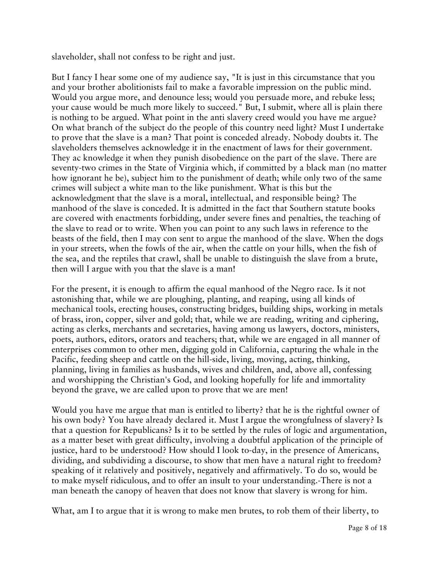slaveholder, shall not confess to be right and just.

But I fancy I hear some one of my audience say, "It is just in this circumstance that you and your brother abolitionists fail to make a favorable impression on the public mind. Would you argue more, and denounce less; would you persuade more, and rebuke less; your cause would be much more likely to succeed." But, I submit, where all is plain there is nothing to be argued. What point in the anti slavery creed would you have me argue? On what branch of the subject do the people of this country need light? Must I undertake to prove that the slave is a man? That point is conceded already. Nobody doubts it. The slaveholders themselves acknowledge it in the enactment of laws for their government. They ac knowledge it when they punish disobedience on the part of the slave. There are seventy-two crimes in the State of Virginia which, if committed by a black man (no matter how ignorant he be), subject him to the punishment of death; while only two of the same crimes will subject a white man to the like punishment. What is this but the acknowledgment that the slave is a moral, intellectual, and responsible being? The manhood of the slave is conceded. It is admitted in the fact that Southern statute books are covered with enactments forbidding, under severe fines and penalties, the teaching of the slave to read or to write. When you can point to any such laws in reference to the beasts of the field, then I may con sent to argue the manhood of the slave. When the dogs in your streets, when the fowls of the air, when the cattle on your hills, when the fish of the sea, and the reptiles that crawl, shall be unable to distinguish the slave from a brute, then will I argue with you that the slave is a man!

For the present, it is enough to affirm the equal manhood of the Negro race. Is it not astonishing that, while we are ploughing, planting, and reaping, using all kinds of mechanical tools, erecting houses, constructing bridges, building ships, working in metals of brass, iron, copper, silver and gold; that, while we are reading, writing and ciphering, acting as clerks, merchants and secretaries, having among us lawyers, doctors, ministers, poets, authors, editors, orators and teachers; that, while we are engaged in all manner of enterprises common to other men, digging gold in California, capturing the whale in the Pacific, feeding sheep and cattle on the hill-side, living, moving, acting, thinking, planning, living in families as husbands, wives and children, and, above all, confessing and worshipping the Christian's God, and looking hopefully for life and immortality beyond the grave, we are called upon to prove that we are men!

Would you have me argue that man is entitled to liberty? that he is the rightful owner of his own body? You have already declared it. Must I argue the wrongfulness of slavery? Is that a question for Republicans? Is it to be settled by the rules of logic and argumentation, as a matter beset with great difficulty, involving a doubtful application of the principle of justice, hard to be understood? How should I look to-day, in the presence of Americans, dividing, and subdividing a discourse, to show that men have a natural right to freedom? speaking of it relatively and positively, negatively and affirmatively. To do so, would be to make myself ridiculous, and to offer an insult to your understanding.-There is not a man beneath the canopy of heaven that does not know that slavery is wrong for him.

What, am I to argue that it is wrong to make men brutes, to rob them of their liberty, to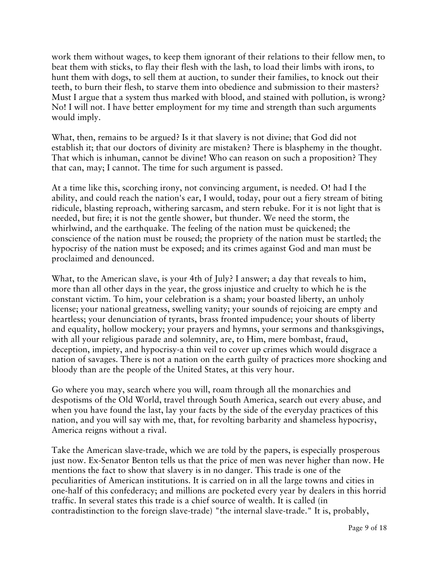work them without wages, to keep them ignorant of their relations to their fellow men, to beat them with sticks, to flay their flesh with the lash, to load their limbs with irons, to hunt them with dogs, to sell them at auction, to sunder their families, to knock out their teeth, to burn their flesh, to starve them into obedience and submission to their masters? Must I argue that a system thus marked with blood, and stained with pollution, is wrong? No! I will not. I have better employment for my time and strength than such arguments would imply.

What, then, remains to be argued? Is it that slavery is not divine; that God did not establish it; that our doctors of divinity are mistaken? There is blasphemy in the thought. That which is inhuman, cannot be divine! Who can reason on such a proposition? They that can, may; I cannot. The time for such argument is passed.

At a time like this, scorching irony, not convincing argument, is needed. O! had I the ability, and could reach the nation's ear, I would, today, pour out a fiery stream of biting ridicule, blasting reproach, withering sarcasm, and stern rebuke. For it is not light that is needed, but fire; it is not the gentle shower, but thunder. We need the storm, the whirlwind, and the earthquake. The feeling of the nation must be quickened; the conscience of the nation must be roused; the propriety of the nation must be startled; the hypocrisy of the nation must be exposed; and its crimes against God and man must be proclaimed and denounced.

What, to the American slave, is your 4th of July? I answer; a day that reveals to him, more than all other days in the year, the gross injustice and cruelty to which he is the constant victim. To him, your celebration is a sham; your boasted liberty, an unholy license; your national greatness, swelling vanity; your sounds of rejoicing are empty and heartless; your denunciation of tyrants, brass fronted impudence; your shouts of liberty and equality, hollow mockery; your prayers and hymns, your sermons and thanksgivings, with all your religious parade and solemnity, are, to Him, mere bombast, fraud, deception, impiety, and hypocrisy-a thin veil to cover up crimes which would disgrace a nation of savages. There is not a nation on the earth guilty of practices more shocking and bloody than are the people of the United States, at this very hour.

Go where you may, search where you will, roam through all the monarchies and despotisms of the Old World, travel through South America, search out every abuse, and when you have found the last, lay your facts by the side of the everyday practices of this nation, and you will say with me, that, for revolting barbarity and shameless hypocrisy, America reigns without a rival.

Take the American slave-trade, which we are told by the papers, is especially prosperous just now. Ex-Senator Benton tells us that the price of men was never higher than now. He mentions the fact to show that slavery is in no danger. This trade is one of the peculiarities of American institutions. It is carried on in all the large towns and cities in one-half of this confederacy; and millions are pocketed every year by dealers in this horrid traffic. In several states this trade is a chief source of wealth. It is called (in contradistinction to the foreign slave-trade) "the internal slave-trade." It is, probably,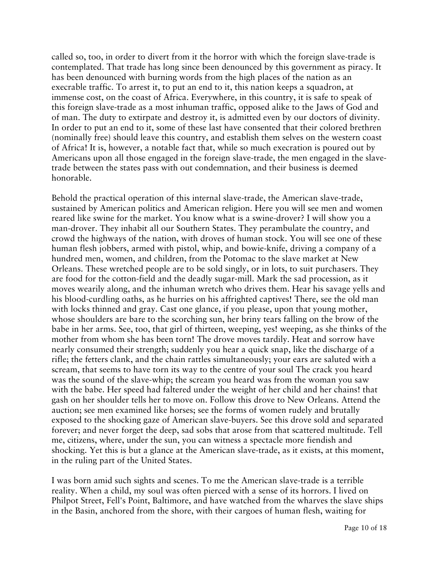called so, too, in order to divert from it the horror with which the foreign slave-trade is contemplated. That trade has long since been denounced by this government as piracy. It has been denounced with burning words from the high places of the nation as an execrable traffic. To arrest it, to put an end to it, this nation keeps a squadron, at immense cost, on the coast of Africa. Everywhere, in this country, it is safe to speak of this foreign slave-trade as a most inhuman traffic, opposed alike to the Jaws of God and of man. The duty to extirpate and destroy it, is admitted even by our doctors of divinity. In order to put an end to it, some of these last have consented that their colored brethren (nominally free) should leave this country, and establish them selves on the western coast of Africa! It is, however, a notable fact that, while so much execration is poured out by Americans upon all those engaged in the foreign slave-trade, the men engaged in the slavetrade between the states pass with out condemnation, and their business is deemed honorable.

Behold the practical operation of this internal slave-trade, the American slave-trade, sustained by American politics and American religion. Here you will see men and women reared like swine for the market. You know what is a swine-drover? I will show you a man-drover. They inhabit all our Southern States. They perambulate the country, and crowd the highways of the nation, with droves of human stock. You will see one of these human flesh jobbers, armed with pistol, whip, and bowie-knife, driving a company of a hundred men, women, and children, from the Potomac to the slave market at New Orleans. These wretched people are to be sold singly, or in lots, to suit purchasers. They are food for the cotton-field and the deadly sugar-mill. Mark the sad procession, as it moves wearily along, and the inhuman wretch who drives them. Hear his savage yells and his blood-curdling oaths, as he hurries on his affrighted captives! There, see the old man with locks thinned and gray. Cast one glance, if you please, upon that young mother, whose shoulders are bare to the scorching sun, her briny tears falling on the brow of the babe in her arms. See, too, that girl of thirteen, weeping, yes! weeping, as she thinks of the mother from whom she has been torn! The drove moves tardily. Heat and sorrow have nearly consumed their strength; suddenly you hear a quick snap, like the discharge of a rifle; the fetters clank, and the chain rattles simultaneously; your ears are saluted with a scream, that seems to have torn its way to the centre of your soul The crack you heard was the sound of the slave-whip; the scream you heard was from the woman you saw with the babe. Her speed had faltered under the weight of her child and her chains! that gash on her shoulder tells her to move on. Follow this drove to New Orleans. Attend the auction; see men examined like horses; see the forms of women rudely and brutally exposed to the shocking gaze of American slave-buyers. See this drove sold and separated forever; and never forget the deep, sad sobs that arose from that scattered multitude. Tell me, citizens, where, under the sun, you can witness a spectacle more fiendish and shocking. Yet this is but a glance at the American slave-trade, as it exists, at this moment, in the ruling part of the United States.

I was born amid such sights and scenes. To me the American slave-trade is a terrible reality. When a child, my soul was often pierced with a sense of its horrors. I lived on Philpot Street, Fell's Point, Baltimore, and have watched from the wharves the slave ships in the Basin, anchored from the shore, with their cargoes of human flesh, waiting for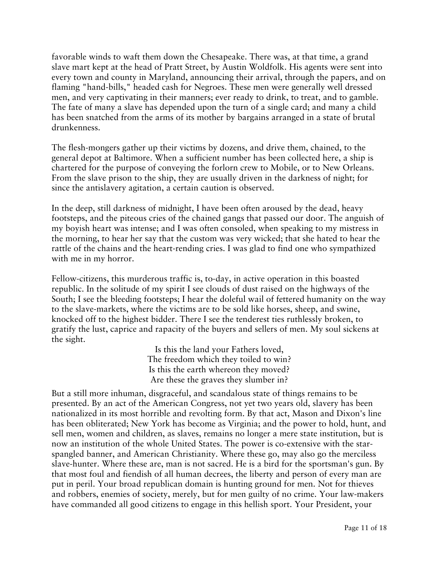favorable winds to waft them down the Chesapeake. There was, at that time, a grand slave mart kept at the head of Pratt Street, by Austin Woldfolk. His agents were sent into every town and county in Maryland, announcing their arrival, through the papers, and on flaming "hand-bills," headed cash for Negroes. These men were generally well dressed men, and very captivating in their manners; ever ready to drink, to treat, and to gamble. The fate of many a slave has depended upon the turn of a single card; and many a child has been snatched from the arms of its mother by bargains arranged in a state of brutal drunkenness.

The flesh-mongers gather up their victims by dozens, and drive them, chained, to the general depot at Baltimore. When a sufficient number has been collected here, a ship is chartered for the purpose of conveying the forlorn crew to Mobile, or to New Orleans. From the slave prison to the ship, they are usually driven in the darkness of night; for since the antislavery agitation, a certain caution is observed.

In the deep, still darkness of midnight, I have been often aroused by the dead, heavy footsteps, and the piteous cries of the chained gangs that passed our door. The anguish of my boyish heart was intense; and I was often consoled, when speaking to my mistress in the morning, to hear her say that the custom was very wicked; that she hated to hear the rattle of the chains and the heart-rending cries. I was glad to find one who sympathized with me in my horror.

Fellow-citizens, this murderous traffic is, to-day, in active operation in this boasted republic. In the solitude of my spirit I see clouds of dust raised on the highways of the South; I see the bleeding footsteps; I hear the doleful wail of fettered humanity on the way to the slave-markets, where the victims are to be sold like horses, sheep, and swine, knocked off to the highest bidder. There I see the tenderest ties ruthlessly broken, to gratify the lust, caprice and rapacity of the buyers and sellers of men. My soul sickens at the sight.

> Is this the land your Fathers loved, The freedom which they toiled to win? Is this the earth whereon they moved? Are these the graves they slumber in?

But a still more inhuman, disgraceful, and scandalous state of things remains to be presented. By an act of the American Congress, not yet two years old, slavery has been nationalized in its most horrible and revolting form. By that act, Mason and Dixon's line has been obliterated; New York has become as Virginia; and the power to hold, hunt, and sell men, women and children, as slaves, remains no longer a mere state institution, but is now an institution of the whole United States. The power is co-extensive with the starspangled banner, and American Christianity. Where these go, may also go the merciless slave-hunter. Where these are, man is not sacred. He is a bird for the sportsman's gun. By that most foul and fiendish of all human decrees, the liberty and person of every man are put in peril. Your broad republican domain is hunting ground for men. Not for thieves and robbers, enemies of society, merely, but for men guilty of no crime. Your law-makers have commanded all good citizens to engage in this hellish sport. Your President, your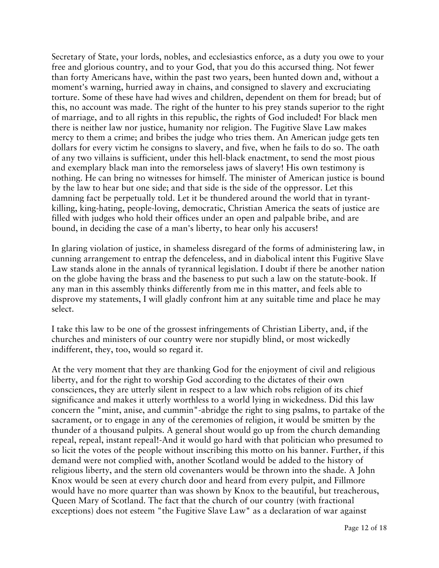Secretary of State, your lords, nobles, and ecclesiastics enforce, as a duty you owe to your free and glorious country, and to your God, that you do this accursed thing. Not fewer than forty Americans have, within the past two years, been hunted down and, without a moment's warning, hurried away in chains, and consigned to slavery and excruciating torture. Some of these have had wives and children, dependent on them for bread; but of this, no account was made. The right of the hunter to his prey stands superior to the right of marriage, and to all rights in this republic, the rights of God included! For black men there is neither law nor justice, humanity nor religion. The Fugitive Slave Law makes mercy to them a crime; and bribes the judge who tries them. An American judge gets ten dollars for every victim he consigns to slavery, and five, when he fails to do so. The oath of any two villains is sufficient, under this hell-black enactment, to send the most pious and exemplary black man into the remorseless jaws of slavery! His own testimony is nothing. He can bring no witnesses for himself. The minister of American justice is bound by the law to hear but one side; and that side is the side of the oppressor. Let this damning fact be perpetually told. Let it be thundered around the world that in tyrantkilling, king-hating, people-loving, democratic, Christian America the seats of justice are filled with judges who hold their offices under an open and palpable bribe, and are bound, in deciding the case of a man's liberty, to hear only his accusers!

In glaring violation of justice, in shameless disregard of the forms of administering law, in cunning arrangement to entrap the defenceless, and in diabolical intent this Fugitive Slave Law stands alone in the annals of tyrannical legislation. I doubt if there be another nation on the globe having the brass and the baseness to put such a law on the statute-book. If any man in this assembly thinks differently from me in this matter, and feels able to disprove my statements, I will gladly confront him at any suitable time and place he may select.

I take this law to be one of the grossest infringements of Christian Liberty, and, if the churches and ministers of our country were nor stupidly blind, or most wickedly indifferent, they, too, would so regard it.

At the very moment that they are thanking God for the enjoyment of civil and religious liberty, and for the right to worship God according to the dictates of their own consciences, they are utterly silent in respect to a law which robs religion of its chief significance and makes it utterly worthless to a world lying in wickedness. Did this law concern the "mint, anise, and cummin"-abridge the right to sing psalms, to partake of the sacrament, or to engage in any of the ceremonies of religion, it would be smitten by the thunder of a thousand pulpits. A general shout would go up from the church demanding repeal, repeal, instant repeal!-And it would go hard with that politician who presumed to so licit the votes of the people without inscribing this motto on his banner. Further, if this demand were not complied with, another Scotland would be added to the history of religious liberty, and the stern old covenanters would be thrown into the shade. A John Knox would be seen at every church door and heard from every pulpit, and Fillmore would have no more quarter than was shown by Knox to the beautiful, but treacherous, Queen Mary of Scotland. The fact that the church of our country (with fractional exceptions) does not esteem "the Fugitive Slave Law" as a declaration of war against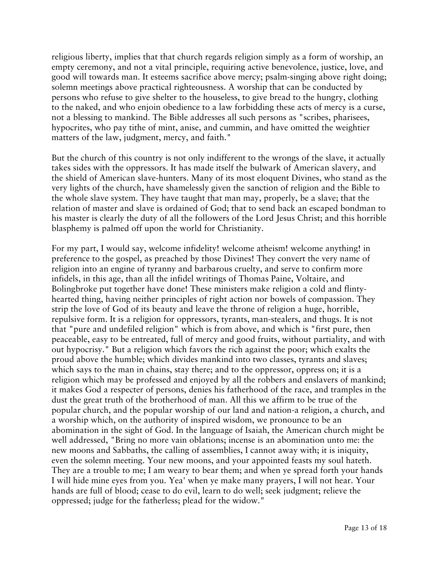religious liberty, implies that that church regards religion simply as a form of worship, an empty ceremony, and not a vital principle, requiring active benevolence, justice, love, and good will towards man. It esteems sacrifice above mercy; psalm-singing above right doing; solemn meetings above practical righteousness. A worship that can be conducted by persons who refuse to give shelter to the houseless, to give bread to the hungry, clothing to the naked, and who enjoin obedience to a law forbidding these acts of mercy is a curse, not a blessing to mankind. The Bible addresses all such persons as "scribes, pharisees, hypocrites, who pay tithe of mint, anise, and cummin, and have omitted the weightier matters of the law, judgment, mercy, and faith."

But the church of this country is not only indifferent to the wrongs of the slave, it actually takes sides with the oppressors. It has made itself the bulwark of American slavery, and the shield of American slave-hunters. Many of its most eloquent Divines, who stand as the very lights of the church, have shamelessly given the sanction of religion and the Bible to the whole slave system. They have taught that man may, properly, be a slave; that the relation of master and slave is ordained of God; that to send back an escaped bondman to his master is clearly the duty of all the followers of the Lord Jesus Christ; and this horrible blasphemy is palmed off upon the world for Christianity.

For my part, I would say, welcome infidelity! welcome atheism! welcome anything! in preference to the gospel, as preached by those Divines! They convert the very name of religion into an engine of tyranny and barbarous cruelty, and serve to confirm more infidels, in this age, than all the infidel writings of Thomas Paine, Voltaire, and Bolingbroke put together have done! These ministers make religion a cold and flintyhearted thing, having neither principles of right action nor bowels of compassion. They strip the love of God of its beauty and leave the throne of religion a huge, horrible, repulsive form. It is a religion for oppressors, tyrants, man-stealers, and thugs. It is not that "pure and undefiled religion" which is from above, and which is "first pure, then peaceable, easy to be entreated, full of mercy and good fruits, without partiality, and with out hypocrisy." But a religion which favors the rich against the poor; which exalts the proud above the humble; which divides mankind into two classes, tyrants and slaves; which says to the man in chains, stay there; and to the oppressor, oppress on; it is a religion which may be professed and enjoyed by all the robbers and enslavers of mankind; it makes God a respecter of persons, denies his fatherhood of the race, and tramples in the dust the great truth of the brotherhood of man. All this we affirm to be true of the popular church, and the popular worship of our land and nation-a religion, a church, and a worship which, on the authority of inspired wisdom, we pronounce to be an abomination in the sight of God. In the language of Isaiah, the American church might be well addressed, "Bring no more vain oblations; incense is an abomination unto me: the new moons and Sabbaths, the calling of assemblies, I cannot away with; it is iniquity, even the solemn meeting. Your new moons, and your appointed feasts my soul hateth. They are a trouble to me; I am weary to bear them; and when ye spread forth your hands I will hide mine eyes from you. Yea' when ye make many prayers, I will not hear. Your hands are full of blood; cease to do evil, learn to do well; seek judgment; relieve the oppressed; judge for the fatherless; plead for the widow."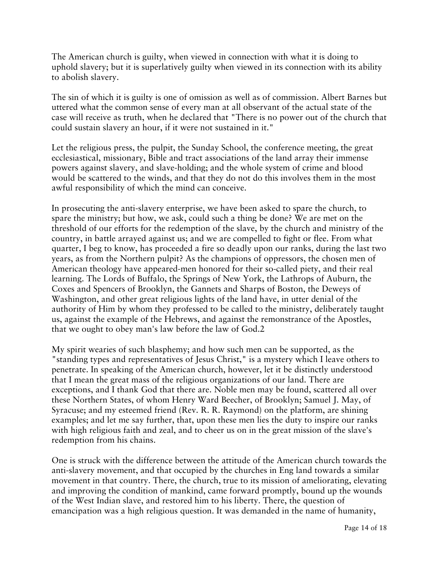The American church is guilty, when viewed in connection with what it is doing to uphold slavery; but it is superlatively guilty when viewed in its connection with its ability to abolish slavery.

The sin of which it is guilty is one of omission as well as of commission. Albert Barnes but uttered what the common sense of every man at all observant of the actual state of the case will receive as truth, when he declared that "There is no power out of the church that could sustain slavery an hour, if it were not sustained in it."

Let the religious press, the pulpit, the Sunday School, the conference meeting, the great ecclesiastical, missionary, Bible and tract associations of the land array their immense powers against slavery, and slave-holding; and the whole system of crime and blood would be scattered to the winds, and that they do not do this involves them in the most awful responsibility of which the mind can conceive.

In prosecuting the anti-slavery enterprise, we have been asked to spare the church, to spare the ministry; but how, we ask, could such a thing be done? We are met on the threshold of our efforts for the redemption of the slave, by the church and ministry of the country, in battle arrayed against us; and we are compelled to fight or flee. From what quarter, I beg to know, has proceeded a fire so deadly upon our ranks, during the last two years, as from the Northern pulpit? As the champions of oppressors, the chosen men of American theology have appeared-men honored for their so-called piety, and their real learning. The Lords of Buffalo, the Springs of New York, the Lathrops of Auburn, the Coxes and Spencers of Brooklyn, the Gannets and Sharps of Boston, the Deweys of Washington, and other great religious lights of the land have, in utter denial of the authority of Him by whom they professed to be called to the ministry, deliberately taught us, against the example of the Hebrews, and against the remonstrance of the Apostles, that we ought to obey man's law before the law of God.2

My spirit wearies of such blasphemy; and how such men can be supported, as the "standing types and representatives of Jesus Christ," is a mystery which I leave others to penetrate. In speaking of the American church, however, let it be distinctly understood that I mean the great mass of the religious organizations of our land. There are exceptions, and I thank God that there are. Noble men may be found, scattered all over these Northern States, of whom Henry Ward Beecher, of Brooklyn; Samuel J. May, of Syracuse; and my esteemed friend (Rev. R. R. Raymond) on the platform, are shining examples; and let me say further, that, upon these men lies the duty to inspire our ranks with high religious faith and zeal, and to cheer us on in the great mission of the slave's redemption from his chains.

One is struck with the difference between the attitude of the American church towards the anti-slavery movement, and that occupied by the churches in Eng land towards a similar movement in that country. There, the church, true to its mission of ameliorating, elevating and improving the condition of mankind, came forward promptly, bound up the wounds of the West Indian slave, and restored him to his liberty. There, the question of emancipation was a high religious question. It was demanded in the name of humanity,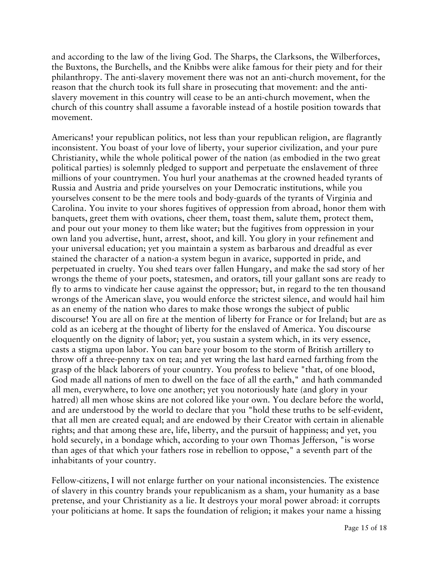and according to the law of the living God. The Sharps, the Clarksons, the Wilberforces, the Buxtons, the Burchells, and the Knibbs were alike famous for their piety and for their philanthropy. The anti-slavery movement there was not an anti-church movement, for the reason that the church took its full share in prosecuting that movement: and the antislavery movement in this country will cease to be an anti-church movement, when the church of this country shall assume a favorable instead of a hostile position towards that movement.

Americans! your republican politics, not less than your republican religion, are flagrantly inconsistent. You boast of your love of liberty, your superior civilization, and your pure Christianity, while the whole political power of the nation (as embodied in the two great political parties) is solemnly pledged to support and perpetuate the enslavement of three millions of your countrymen. You hurl your anathemas at the crowned headed tyrants of Russia and Austria and pride yourselves on your Democratic institutions, while you yourselves consent to be the mere tools and body-guards of the tyrants of Virginia and Carolina. You invite to your shores fugitives of oppression from abroad, honor them with banquets, greet them with ovations, cheer them, toast them, salute them, protect them, and pour out your money to them like water; but the fugitives from oppression in your own land you advertise, hunt, arrest, shoot, and kill. You glory in your refinement and your universal education; yet you maintain a system as barbarous and dreadful as ever stained the character of a nation-a system begun in avarice, supported in pride, and perpetuated in cruelty. You shed tears over fallen Hungary, and make the sad story of her wrongs the theme of your poets, statesmen, and orators, till your gallant sons are ready to fly to arms to vindicate her cause against the oppressor; but, in regard to the ten thousand wrongs of the American slave, you would enforce the strictest silence, and would hail him as an enemy of the nation who dares to make those wrongs the subject of public discourse! You are all on fire at the mention of liberty for France or for Ireland; but are as cold as an iceberg at the thought of liberty for the enslaved of America. You discourse eloquently on the dignity of labor; yet, you sustain a system which, in its very essence, casts a stigma upon labor. You can bare your bosom to the storm of British artillery to throw off a three-penny tax on tea; and yet wring the last hard earned farthing from the grasp of the black laborers of your country. You profess to believe "that, of one blood, God made all nations of men to dwell on the face of all the earth," and hath commanded all men, everywhere, to love one another; yet you notoriously hate (and glory in your hatred) all men whose skins are not colored like your own. You declare before the world, and are understood by the world to declare that you "hold these truths to be self-evident, that all men are created equal; and are endowed by their Creator with certain in alienable rights; and that among these are, life, liberty, and the pursuit of happiness; and yet, you hold securely, in a bondage which, according to your own Thomas Jefferson, "is worse than ages of that which your fathers rose in rebellion to oppose," a seventh part of the inhabitants of your country.

Fellow-citizens, I will not enlarge further on your national inconsistencies. The existence of slavery in this country brands your republicanism as a sham, your humanity as a base pretense, and your Christianity as a lie. It destroys your moral power abroad: it corrupts your politicians at home. It saps the foundation of religion; it makes your name a hissing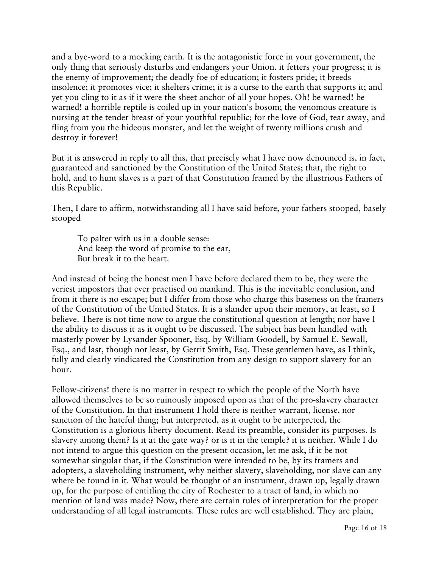and a bye-word to a mocking earth. It is the antagonistic force in your government, the only thing that seriously disturbs and endangers your Union. it fetters your progress; it is the enemy of improvement; the deadly foe of education; it fosters pride; it breeds insolence; it promotes vice; it shelters crime; it is a curse to the earth that supports it; and yet you cling to it as if it were the sheet anchor of all your hopes. Oh! be warned! be warned! a horrible reptile is coiled up in your nation's bosom; the venomous creature is nursing at the tender breast of your youthful republic; for the love of God, tear away, and fling from you the hideous monster, and let the weight of twenty millions crush and destroy it forever!

But it is answered in reply to all this, that precisely what I have now denounced is, in fact, guaranteed and sanctioned by the Constitution of the United States; that, the right to hold, and to hunt slaves is a part of that Constitution framed by the illustrious Fathers of this Republic.

Then, I dare to affirm, notwithstanding all I have said before, your fathers stooped, basely stooped

To palter with us in a double sense: And keep the word of promise to the ear, But break it to the heart.

And instead of being the honest men I have before declared them to be, they were the veriest impostors that ever practised on mankind. This is the inevitable conclusion, and from it there is no escape; but I differ from those who charge this baseness on the framers of the Constitution of the United States. It is a slander upon their memory, at least, so I believe. There is not time now to argue the constitutional question at length; nor have I the ability to discuss it as it ought to be discussed. The subject has been handled with masterly power by Lysander Spooner, Esq. by William Goodell, by Samuel E. Sewall, Esq., and last, though not least, by Gerrit Smith, Esq. These gentlemen have, as I think, fully and clearly vindicated the Constitution from any design to support slavery for an hour.

Fellow-citizens! there is no matter in respect to which the people of the North have allowed themselves to be so ruinously imposed upon as that of the pro-slavery character of the Constitution. In that instrument I hold there is neither warrant, license, nor sanction of the hateful thing; but interpreted, as it ought to be interpreted, the Constitution is a glorious liberty document. Read its preamble, consider its purposes. Is slavery among them? Is it at the gate way? or is it in the temple? it is neither. While I do not intend to argue this question on the present occasion, let me ask, if it be not somewhat singular that, if the Constitution were intended to be, by its framers and adopters, a slaveholding instrument, why neither slavery, slaveholding, nor slave can any where be found in it. What would be thought of an instrument, drawn up, legally drawn up, for the purpose of entitling the city of Rochester to a tract of land, in which no mention of land was made? Now, there are certain rules of interpretation for the proper understanding of all legal instruments. These rules are well established. They are plain,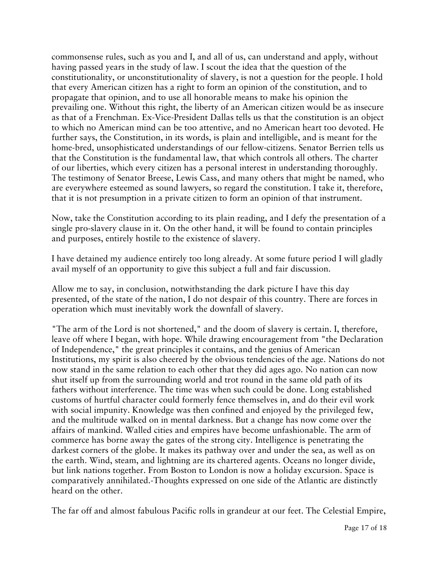commonsense rules, such as you and I, and all of us, can understand and apply, without having passed years in the study of law. I scout the idea that the question of the constitutionality, or unconstitutionality of slavery, is not a question for the people. I hold that every American citizen has a right to form an opinion of the constitution, and to propagate that opinion, and to use all honorable means to make his opinion the prevailing one. Without this right, the liberty of an American citizen would be as insecure as that of a Frenchman. Ex-Vice-President Dallas tells us that the constitution is an object to which no American mind can be too attentive, and no American heart too devoted. He further says, the Constitution, in its words, is plain and intelligible, and is meant for the home-bred, unsophisticated understandings of our fellow-citizens. Senator Berrien tells us that the Constitution is the fundamental law, that which controls all others. The charter of our liberties, which every citizen has a personal interest in understanding thoroughly. The testimony of Senator Breese, Lewis Cass, and many others that might be named, who are everywhere esteemed as sound lawyers, so regard the constitution. I take it, therefore, that it is not presumption in a private citizen to form an opinion of that instrument.

Now, take the Constitution according to its plain reading, and I defy the presentation of a single pro-slavery clause in it. On the other hand, it will be found to contain principles and purposes, entirely hostile to the existence of slavery.

I have detained my audience entirely too long already. At some future period I will gladly avail myself of an opportunity to give this subject a full and fair discussion.

Allow me to say, in conclusion, notwithstanding the dark picture I have this day presented, of the state of the nation, I do not despair of this country. There are forces in operation which must inevitably work the downfall of slavery.

"The arm of the Lord is not shortened," and the doom of slavery is certain. I, therefore, leave off where I began, with hope. While drawing encouragement from "the Declaration of Independence," the great principles it contains, and the genius of American Institutions, my spirit is also cheered by the obvious tendencies of the age. Nations do not now stand in the same relation to each other that they did ages ago. No nation can now shut itself up from the surrounding world and trot round in the same old path of its fathers without interference. The time was when such could be done. Long established customs of hurtful character could formerly fence themselves in, and do their evil work with social impunity. Knowledge was then confined and enjoyed by the privileged few, and the multitude walked on in mental darkness. But a change has now come over the affairs of mankind. Walled cities and empires have become unfashionable. The arm of commerce has borne away the gates of the strong city. Intelligence is penetrating the darkest corners of the globe. It makes its pathway over and under the sea, as well as on the earth. Wind, steam, and lightning are its chartered agents. Oceans no longer divide, but link nations together. From Boston to London is now a holiday excursion. Space is comparatively annihilated.-Thoughts expressed on one side of the Atlantic are distinctly heard on the other.

The far off and almost fabulous Pacific rolls in grandeur at our feet. The Celestial Empire,